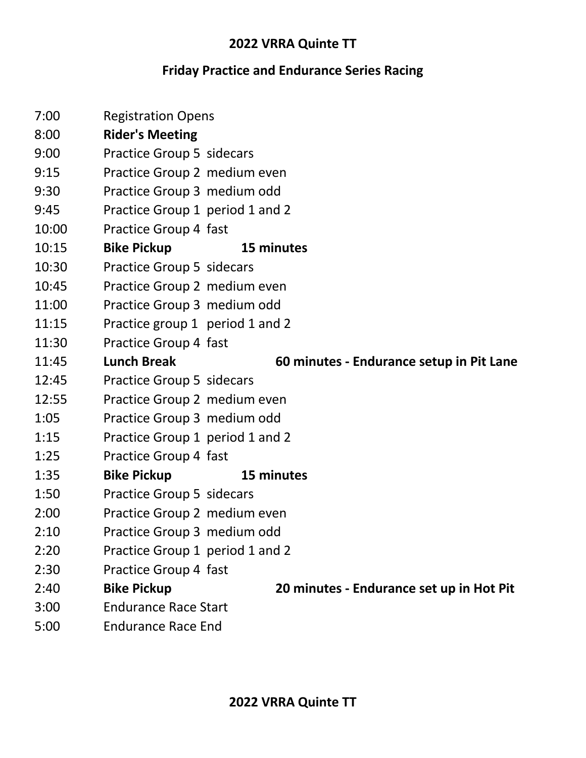#### **2022 VRRA Quinte TT**

# **Friday Practice and Endurance Series Racing**

| 7:00  | <b>Registration Opens</b>        |                                          |
|-------|----------------------------------|------------------------------------------|
| 8:00  | <b>Rider's Meeting</b>           |                                          |
| 9:00  | <b>Practice Group 5 sidecars</b> |                                          |
| 9:15  | Practice Group 2 medium even     |                                          |
| 9:30  | Practice Group 3 medium odd      |                                          |
| 9:45  | Practice Group 1 period 1 and 2  |                                          |
| 10:00 | Practice Group 4 fast            |                                          |
| 10:15 | <b>Bike Pickup</b>               | 15 minutes                               |
| 10:30 | <b>Practice Group 5 sidecars</b> |                                          |
| 10:45 | Practice Group 2 medium even     |                                          |
| 11:00 | Practice Group 3 medium odd      |                                          |
| 11:15 | Practice group 1 period 1 and 2  |                                          |
| 11:30 | Practice Group 4 fast            |                                          |
| 11:45 | <b>Lunch Break</b>               | 60 minutes - Endurance setup in Pit Lane |
| 12:45 | Practice Group 5 sidecars        |                                          |
| 12:55 | Practice Group 2 medium even     |                                          |
| 1:05  | Practice Group 3 medium odd      |                                          |
| 1:15  | Practice Group 1 period 1 and 2  |                                          |
| 1:25  | Practice Group 4 fast            |                                          |
| 1:35  | <b>Bike Pickup</b>               | 15 minutes                               |
| 1:50  | <b>Practice Group 5 sidecars</b> |                                          |
| 2:00  | Practice Group 2 medium even     |                                          |
| 2:10  | Practice Group 3 medium odd      |                                          |
| 2:20  | Practice Group 1 period 1 and 2  |                                          |
| 2:30  | Practice Group 4 fast            |                                          |
| 2:40  | <b>Bike Pickup</b>               | 20 minutes - Endurance set up in Hot Pit |
| 3:00  | <b>Endurance Race Start</b>      |                                          |
| 5:00  | <b>Endurance Race End</b>        |                                          |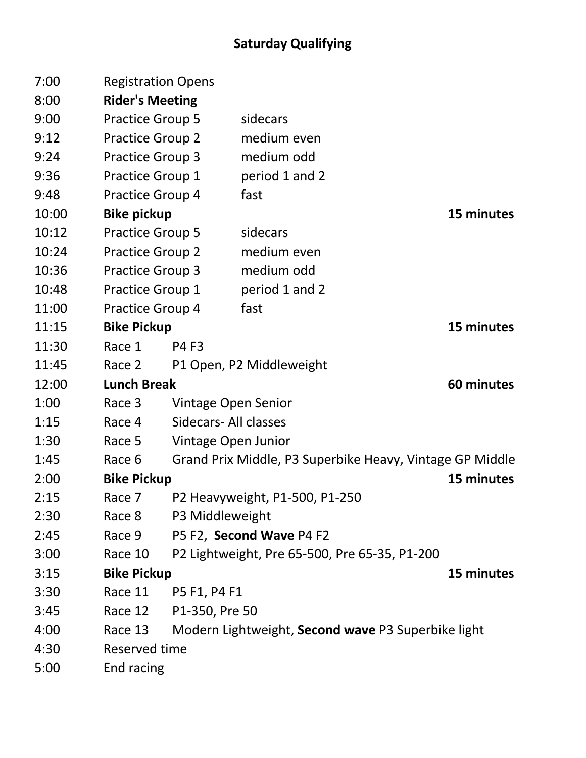# **Saturday Qualifying**

| 7:00  | <b>Registration Opens</b>        |                                |                                                          |            |  |  |
|-------|----------------------------------|--------------------------------|----------------------------------------------------------|------------|--|--|
| 8:00  | <b>Rider's Meeting</b>           |                                |                                                          |            |  |  |
| 9:00  | <b>Practice Group 5</b>          |                                | sidecars                                                 |            |  |  |
| 9:12  | <b>Practice Group 2</b>          |                                | medium even                                              |            |  |  |
| 9:24  | <b>Practice Group 3</b>          |                                | medium odd                                               |            |  |  |
| 9:36  | Practice Group 1                 |                                | period 1 and 2                                           |            |  |  |
| 9:48  | Practice Group 4                 |                                | fast                                                     |            |  |  |
| 10:00 | <b>Bike pickup</b>               |                                |                                                          | 15 minutes |  |  |
| 10:12 | <b>Practice Group 5</b>          |                                | sidecars                                                 |            |  |  |
| 10:24 | Practice Group 2                 |                                | medium even                                              |            |  |  |
| 10:36 | <b>Practice Group 3</b>          |                                | medium odd                                               |            |  |  |
| 10:48 | Practice Group 1                 |                                | period 1 and 2                                           |            |  |  |
| 11:00 | Practice Group 4                 |                                | fast                                                     |            |  |  |
| 11:15 | <b>Bike Pickup</b><br>15 minutes |                                |                                                          |            |  |  |
| 11:30 | Race 1                           | <b>P4 F3</b>                   |                                                          |            |  |  |
| 11:45 | Race 2                           |                                | P1 Open, P2 Middleweight                                 |            |  |  |
| 12:00 | <b>Lunch Break</b><br>60 minutes |                                |                                                          |            |  |  |
| 1:00  | Race 3                           | Vintage Open Senior            |                                                          |            |  |  |
| 1:15  | Race 4                           | Sidecars- All classes          |                                                          |            |  |  |
| 1:30  | Race 5                           | Vintage Open Junior            |                                                          |            |  |  |
| 1:45  | Race 6                           |                                | Grand Prix Middle, P3 Superbike Heavy, Vintage GP Middle |            |  |  |
| 2:00  | <b>Bike Pickup</b>               | 15 minutes                     |                                                          |            |  |  |
| 2:15  | Race 7                           | P2 Heavyweight, P1-500, P1-250 |                                                          |            |  |  |
| 2:30  | Race 8                           | P3 Middleweight                |                                                          |            |  |  |
| 2:45  | Race 9                           |                                | P5 F2, Second Wave P4 F2                                 |            |  |  |
| 3:00  | Race 10                          |                                | P2 Lightweight, Pre 65-500, Pre 65-35, P1-200            |            |  |  |
| 3:15  | <b>Bike Pickup</b>               | 15 minutes                     |                                                          |            |  |  |
| 3:30  | Race 11                          | P5 F1, P4 F1                   |                                                          |            |  |  |
| 3:45  | Race 12                          | P1-350, Pre 50                 |                                                          |            |  |  |
| 4:00  | Race 13                          |                                | Modern Lightweight, Second wave P3 Superbike light       |            |  |  |
|       | Reserved time                    |                                |                                                          |            |  |  |
| 4:30  |                                  |                                |                                                          |            |  |  |